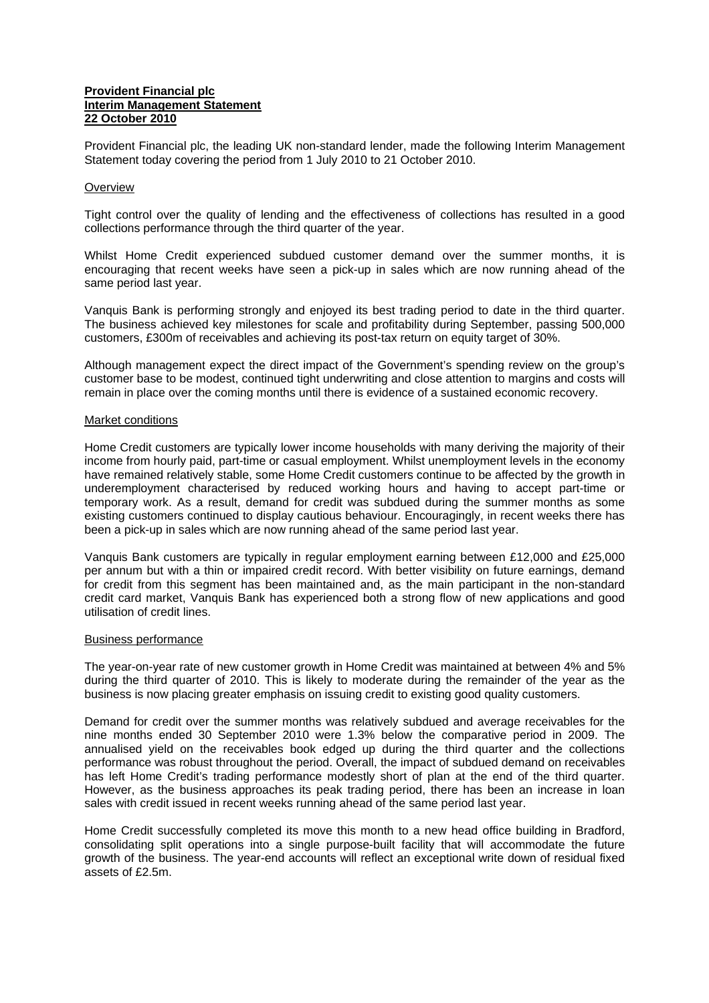## **Provident Financial plc Interim Management Statement 22 October 2010**

Provident Financial plc, the leading UK non-standard lender, made the following Interim Management Statement today covering the period from 1 July 2010 to 21 October 2010.

## **Overview**

Tight control over the quality of lending and the effectiveness of collections has resulted in a good collections performance through the third quarter of the year.

Whilst Home Credit experienced subdued customer demand over the summer months, it is encouraging that recent weeks have seen a pick-up in sales which are now running ahead of the same period last year.

Vanquis Bank is performing strongly and enjoyed its best trading period to date in the third quarter. The business achieved key milestones for scale and profitability during September, passing 500,000 customers, £300m of receivables and achieving its post-tax return on equity target of 30%.

Although management expect the direct impact of the Government's spending review on the group's customer base to be modest, continued tight underwriting and close attention to margins and costs will remain in place over the coming months until there is evidence of a sustained economic recovery.

### Market conditions

Home Credit customers are typically lower income households with many deriving the majority of their income from hourly paid, part-time or casual employment. Whilst unemployment levels in the economy have remained relatively stable, some Home Credit customers continue to be affected by the growth in underemployment characterised by reduced working hours and having to accept part-time or temporary work. As a result, demand for credit was subdued during the summer months as some existing customers continued to display cautious behaviour. Encouragingly, in recent weeks there has been a pick-up in sales which are now running ahead of the same period last year.

Vanquis Bank customers are typically in regular employment earning between £12,000 and £25,000 per annum but with a thin or impaired credit record. With better visibility on future earnings, demand for credit from this segment has been maintained and, as the main participant in the non-standard credit card market, Vanquis Bank has experienced both a strong flow of new applications and good utilisation of credit lines.

### Business performance

The year-on-year rate of new customer growth in Home Credit was maintained at between 4% and 5% during the third quarter of 2010. This is likely to moderate during the remainder of the year as the business is now placing greater emphasis on issuing credit to existing good quality customers.

Demand for credit over the summer months was relatively subdued and average receivables for the nine months ended 30 September 2010 were 1.3% below the comparative period in 2009. The annualised yield on the receivables book edged up during the third quarter and the collections performance was robust throughout the period. Overall, the impact of subdued demand on receivables has left Home Credit's trading performance modestly short of plan at the end of the third quarter. However, as the business approaches its peak trading period, there has been an increase in loan sales with credit issued in recent weeks running ahead of the same period last year.

Home Credit successfully completed its move this month to a new head office building in Bradford, consolidating split operations into a single purpose-built facility that will accommodate the future growth of the business. The year-end accounts will reflect an exceptional write down of residual fixed assets of £2.5m.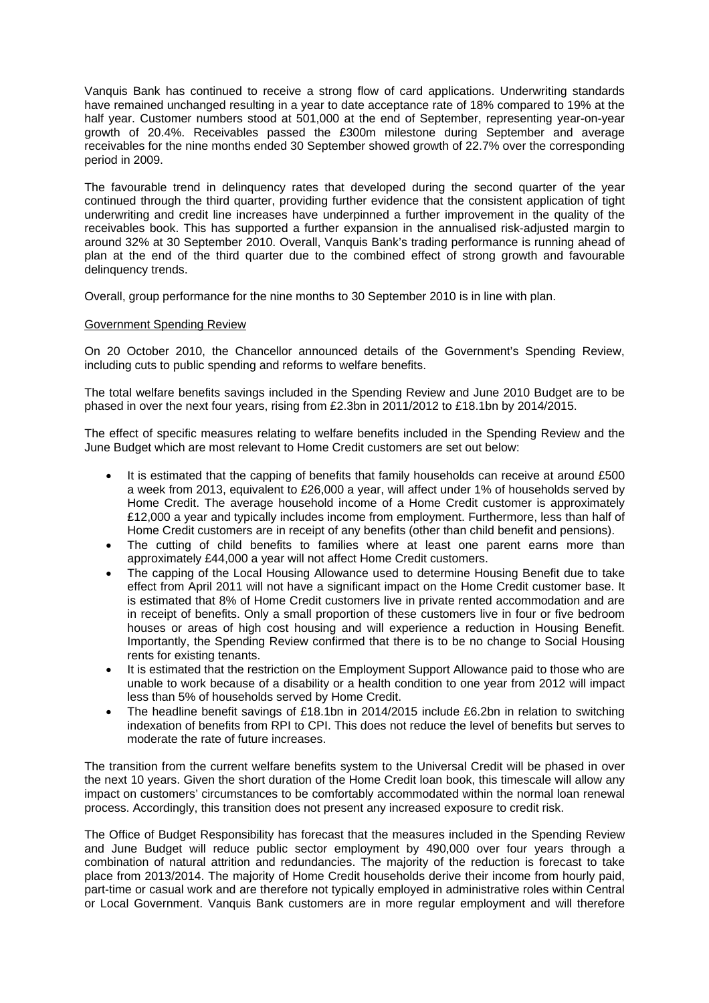Vanquis Bank has continued to receive a strong flow of card applications. Underwriting standards have remained unchanged resulting in a year to date acceptance rate of 18% compared to 19% at the half year. Customer numbers stood at 501,000 at the end of September, representing year-on-year growth of 20.4%. Receivables passed the £300m milestone during September and average receivables for the nine months ended 30 September showed growth of 22.7% over the corresponding period in 2009.

The favourable trend in delinquency rates that developed during the second quarter of the year continued through the third quarter, providing further evidence that the consistent application of tight underwriting and credit line increases have underpinned a further improvement in the quality of the receivables book. This has supported a further expansion in the annualised risk-adjusted margin to around 32% at 30 September 2010. Overall, Vanquis Bank's trading performance is running ahead of plan at the end of the third quarter due to the combined effect of strong growth and favourable delinquency trends.

Overall, group performance for the nine months to 30 September 2010 is in line with plan.

# Government Spending Review

On 20 October 2010, the Chancellor announced details of the Government's Spending Review, including cuts to public spending and reforms to welfare benefits.

The total welfare benefits savings included in the Spending Review and June 2010 Budget are to be phased in over the next four years, rising from £2.3bn in 2011/2012 to £18.1bn by 2014/2015.

The effect of specific measures relating to welfare benefits included in the Spending Review and the June Budget which are most relevant to Home Credit customers are set out below:

- It is estimated that the capping of benefits that family households can receive at around £500 a week from 2013, equivalent to £26,000 a year, will affect under 1% of households served by Home Credit. The average household income of a Home Credit customer is approximately £12,000 a year and typically includes income from employment. Furthermore, less than half of Home Credit customers are in receipt of any benefits (other than child benefit and pensions).
- The cutting of child benefits to families where at least one parent earns more than approximately £44,000 a year will not affect Home Credit customers.
- The capping of the Local Housing Allowance used to determine Housing Benefit due to take effect from April 2011 will not have a significant impact on the Home Credit customer base. It is estimated that 8% of Home Credit customers live in private rented accommodation and are in receipt of benefits. Only a small proportion of these customers live in four or five bedroom houses or areas of high cost housing and will experience a reduction in Housing Benefit. Importantly, the Spending Review confirmed that there is to be no change to Social Housing rents for existing tenants.
- It is estimated that the restriction on the Employment Support Allowance paid to those who are unable to work because of a disability or a health condition to one year from 2012 will impact less than 5% of households served by Home Credit.
- The headline benefit savings of £18.1bn in 2014/2015 include £6.2bn in relation to switching indexation of benefits from RPI to CPI. This does not reduce the level of benefits but serves to moderate the rate of future increases.

The transition from the current welfare benefits system to the Universal Credit will be phased in over the next 10 years. Given the short duration of the Home Credit loan book, this timescale will allow any impact on customers' circumstances to be comfortably accommodated within the normal loan renewal process. Accordingly, this transition does not present any increased exposure to credit risk.

The Office of Budget Responsibility has forecast that the measures included in the Spending Review and June Budget will reduce public sector employment by 490,000 over four years through a combination of natural attrition and redundancies. The majority of the reduction is forecast to take place from 2013/2014. The majority of Home Credit households derive their income from hourly paid, part-time or casual work and are therefore not typically employed in administrative roles within Central or Local Government. Vanquis Bank customers are in more regular employment and will therefore